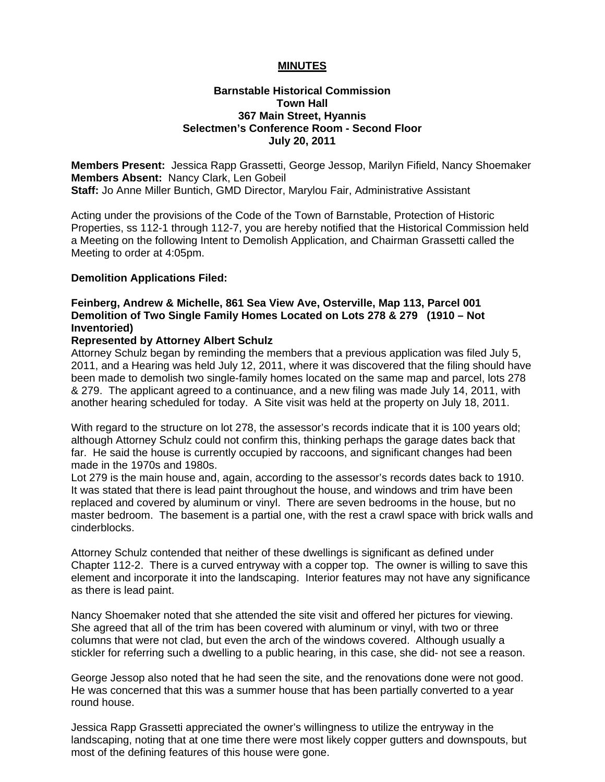### **MINUTES**

### **Barnstable Historical Commission Town Hall 367 Main Street, Hyannis Selectmen's Conference Room - Second Floor July 20, 2011**

**Members Present:** Jessica Rapp Grassetti, George Jessop, Marilyn Fifield, Nancy Shoemaker **Members Absent:** Nancy Clark, Len Gobeil **Staff:** Jo Anne Miller Buntich, GMD Director, Marylou Fair, Administrative Assistant

Acting under the provisions of the Code of the Town of Barnstable, Protection of Historic Properties, ss 112-1 through 112-7, you are hereby notified that the Historical Commission held a Meeting on the following Intent to Demolish Application, and Chairman Grassetti called the Meeting to order at 4:05pm.

### **Demolition Applications Filed:**

# **Feinberg, Andrew & Michelle, 861 Sea View Ave, Osterville, Map 113, Parcel 001 Demolition of Two Single Family Homes Located on Lots 278 & 279 (1910 – Not Inventoried)**

#### **Represented by Attorney Albert Schulz**

Attorney Schulz began by reminding the members that a previous application was filed July 5, 2011, and a Hearing was held July 12, 2011, where it was discovered that the filing should have been made to demolish two single-family homes located on the same map and parcel, lots 278 & 279. The applicant agreed to a continuance, and a new filing was made July 14, 2011, with another hearing scheduled for today. A Site visit was held at the property on July 18, 2011.

With regard to the structure on lot 278, the assessor's records indicate that it is 100 years old; although Attorney Schulz could not confirm this, thinking perhaps the garage dates back that far. He said the house is currently occupied by raccoons, and significant changes had been made in the 1970s and 1980s.

Lot 279 is the main house and, again, according to the assessor's records dates back to 1910. It was stated that there is lead paint throughout the house, and windows and trim have been replaced and covered by aluminum or vinyl. There are seven bedrooms in the house, but no master bedroom. The basement is a partial one, with the rest a crawl space with brick walls and cinderblocks.

Attorney Schulz contended that neither of these dwellings is significant as defined under Chapter 112-2. There is a curved entryway with a copper top. The owner is willing to save this element and incorporate it into the landscaping. Interior features may not have any significance as there is lead paint.

Nancy Shoemaker noted that she attended the site visit and offered her pictures for viewing. She agreed that all of the trim has been covered with aluminum or vinyl, with two or three columns that were not clad, but even the arch of the windows covered. Although usually a stickler for referring such a dwelling to a public hearing, in this case, she did- not see a reason.

George Jessop also noted that he had seen the site, and the renovations done were not good. He was concerned that this was a summer house that has been partially converted to a year round house.

Jessica Rapp Grassetti appreciated the owner's willingness to utilize the entryway in the landscaping, noting that at one time there were most likely copper gutters and downspouts, but most of the defining features of this house were gone.